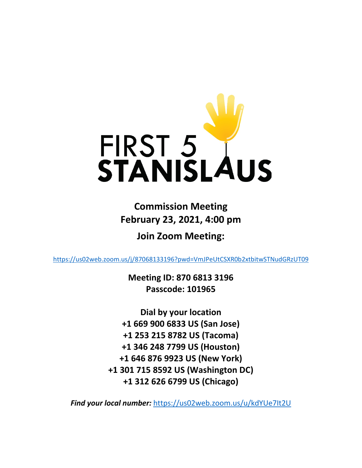

**Commission Meeting February 23, 2021, 4:00 pm**

**Join Zoom Meeting:**

<https://us02web.zoom.us/j/87068133196?pwd=VmJPeUtCSXR0b2xtbitwSTNudGRzUT09>

**Meeting ID: 870 6813 3196 Passcode: 101965**

**Dial by your location +1 669 900 6833 US (San Jose) +1 253 215 8782 US (Tacoma) +1 346 248 7799 US (Houston) +1 646 876 9923 US (New York) +1 301 715 8592 US (Washington DC) +1 312 626 6799 US (Chicago)**

*Find your local number:* <https://us02web.zoom.us/u/kdYUe7It2U>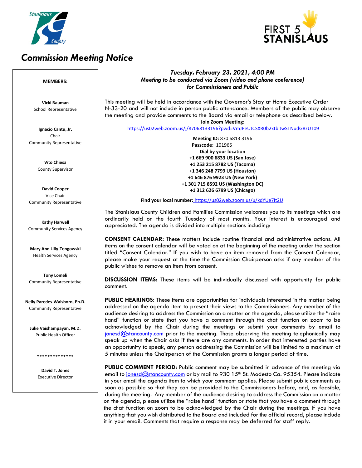

# *Commission Meeting Notice*



### *Tuesday, February 23, 2021, 4:00 PM Meeting to be conducted via Zoom (video and phone conference) for Commissioners and Public*

This meeting will be held in accordance with the Governor's Stay at Home Executive Order N-33-20 and will not include in person public attendance. Members of the public may observe the meeting and provide comments to the Board via email or telephone as described below. **Join Zoom Meeting:**

<https://us02web.zoom.us/j/87068133196?pwd=VmJPeUtCSXR0b2xtbitwSTNudGRzUT09>

**Meeting ID:** 870 6813 3196 **Passcode:** 101965 **Dial by your location +1 669 900 6833 US (San Jose) +1 253 215 8782 US (Tacoma) +1 346 248 7799 US (Houston) +1 646 876 9923 US (New York) +1 301 715 8592 US (Washington DC) +1 312 626 6799 US (Chicago)**

**Find your local number:** <https://us02web.zoom.us/u/kdYUe7It2U>

The Stanislaus County Children and Families Commission welcomes you to its meetings which are ordinarily held on the fourth Tuesday of most months. Your interest is encouraged and appreciated. The agenda is divided into multiple sections including:

**CONSENT CALENDAR:** These matters include routine financial and administrative actions. All items on the consent calendar will be voted on at the beginning of the meeting under the section titled "Consent Calendar." If you wish to have an item removed from the Consent Calendar, please make your request at the time the Commission Chairperson asks if any member of the public wishes to remove an item from consent.

**DISCUSSION ITEMS:** These items will be individually discussed with opportunity for public comment.

**PUBLIC HEARINGS:** These items are opportunities for individuals interested in the matter being addressed on the agenda item to present their views to the Commissioners. Any member of the audience desiring to address the Commission on a matter on the agenda, please utilize the "raise hand" function or state that you have a comment through the chat function on zoom to be acknowledged by the Chair during the meetings or submit your comments by email to  $j$ onesd $@$ stancounty.com prior to the meeting. Those observing the meeting telephonically may speak up when the Chair asks if there are any comments. In order that interested parties have an opportunity to speak, any person addressing the Commission will be limited to a maximum of 5 minutes unless the Chairperson of the Commission grants a longer period of time.

**PUBLIC COMMENT PERIOD:** Public comment may be submitted in advance of the meeting via email to [jonesd@stancounty.com](mailto:jonesd@stancounty.com) or by mail to 930 15<sup>th</sup> St. Modesto Ca. 95354. Please indicate in your email the agenda item to which your comment applies. Please submit public comments as soon as possible so that they can be provided to the Commissioners before, and, as feasible, during the meeting. Any member of the audience desiring to address the Commission on a matter on the agenda, please utilize the "raise hand" function or state that you have a comment through the chat function on zoom to be acknowledged by the Chair during the meetings. If you have anything that you wish distributed to the Board and included for the official record, please include it in your email. Comments that require a response may be deferred for staff reply.

#### **MEMBERS:**

**Vicki Bauman** School Representative

**Ignacio Cantu, Jr.** Chair Community Representative

> **Vito Chiesa** County Supervisor

**David Cooper** Vice Chair Community Representative

**Kathy Harwell** Community Services Agency

**Mary Ann Lilly-Tengowski** Health Services Agency

**Tony Lomeli** Community Representative

**Nelly Paredes-Walsborn, Ph.D.** Community Representative

**Julie Vaishampayan, M.D.** Public Health Officer

\*\*\*\*\*\*\*\*\*\*\*\*\*\*

**David T. Jones** Executive Director